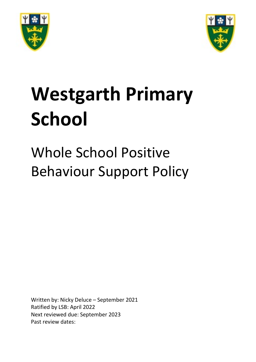



# **Westgarth Primary School**

# Whole School Positive Behaviour Support Policy

Written by: Nicky Deluce – September 2021 Ratified by LSB: April 2022 Next reviewed due: September 2023 Past review dates: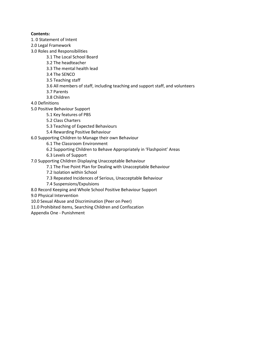# **Contents:**

- 1. 0 Statement of Intent
- 2.0 Legal Framework
- 3.0 Roles and Responsibilities
	- 3.1 The Local School Board
	- 3.2 The headteacher
	- 3.3 The mental health lead
	- 3.4 The SENCO
	- 3.5 Teaching staff
	- 3.6 All members of staff, including teaching and support staff, and volunteers
	- 3.7 Parents
	- 3.8 Children
- 4.0 Definitions
- 5.0 Positive Behaviour Support
	- 5.1 Key features of PBS
	- 5.2 Class Charters
	- 5.3 Teaching of Expected Behaviours
	- 5.4 Rewarding Positive Behaviour
- 6.0 Supporting Children to Manage their own Behaviour
	- 6.1 The Classroom Environment
	- 6.2 Supporting Children to Behave Appropriately in 'Flashpoint' Areas
	- 6.3 Levels of Support
- 7.0 Supporting Children Displaying Unacceptable Behaviour
	- 7.1 The Five Point Plan for Dealing with Unacceptable Behaviour
	- 7.2 Isolation within School
	- 7.3 Repeated Incidences of Serious, Unacceptable Behaviour
	- 7.4 Suspensions/Expulsions
- 8.0 Record Keeping and Whole School Positive Behaviour Support
- 9.0 Physical Intervention
- 10.0 Sexual Abuse and Discrimination (Peer on Peer)
- 11.0 Prohibited items, Searching Children and Confiscation
- Appendix One Punishment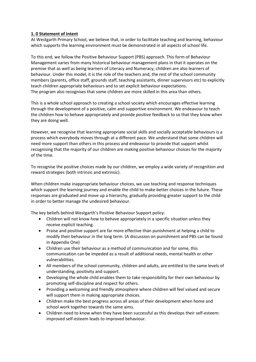# **1. 0 Statement of Intent**

At Westgarth Primary School, we believe that, in order to facilitate teaching and learning, behaviour which supports the learning environment must be demonstrated in all aspects of school life.

To this end, we follow the Positive Behaviour Support (PBS) approach. This form of Behaviour Management varies from many historical behaviour management plans in that it operates on the premise that as well as being learners of Literacy and Numeracy, children are also learners of behaviour. Under this model, it is the role of the teachers and, the rest of the school community members (parents, office staff, grounds staff, teaching assistants, dinner supervisors etc) to explicitly teach children appropriate behaviours and to set explicit behaviour expectations. The program also recognises that some children are more skilled in this area than others.

This is a whole school approach to creating a school society which encourages effective learning through the development of a positive, calm and supportive environment. We endeavour to teach the children how to behave appropriately and provide positive feedback to so that they know when they are doing well.

However, we recognise that learning appropriate social skills and socially acceptable behaviours is a process which everybody moves through at a different pace. We understand that some children will need more support than others in this process and endeavour to provide that support whilst recognising that the majority of our children are making positive behaviour choices for the majority of the time.

To recognise the positive choices made by our children, we employ a wide variety of recognition and reward strategies (both intrinsic and extrinsic).

When children make inappropriate behaviour choices, we use teaching and response techniques which support the learning journey and enable the child to make better choices in the future. These responses are graduated and move up a hierarchy, gradually providing greater support to the child in order to better manage the undesired behaviour.

The key beliefs behind Westgarth's Positive Behaviour Support policy:

- Children will not know how to behave appropriately in a specific situation unless they receive explicit teaching.
- Praise and positive support are far more effective than punishment at helping a child to modify their behaviour in the long term. (A discussion on punishment and PBS can be found in Appendix One)
- Children use their behaviour as a method of communication and for some, this communication can be impeded as a result of additional needs, mental health or other vulnerabilities.
- All members of the school community, children and adults, are entitled to the same levels of understanding, positivity and support.
- Developing the whole child enables them to take responsibility for their own behaviour by promoting self-discipline and respect for others.
- Providing a welcoming and friendly atmosphere where children will feel valued and secure will support them in making appropriate choices.
- Children make the best progress across all areas of their development when home and school work together towards the same aims.
- Children need to know when they have been successful as this develops their self-esteem: improved self-esteem leads to improved behaviour.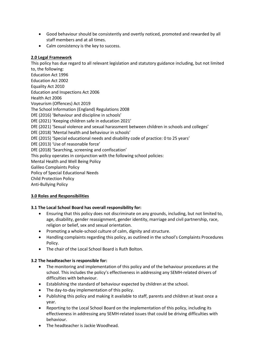- Good behaviour should be consistently and overtly noticed, promoted and rewarded by all staff members and at all times.
- Calm consistency is the key to success.

#### **2.0 Legal Framework**

This policy has due regard to all relevant legislation and statutory guidance including, but not limited to, the following: Education Act 1996 Education Act 2002 Equality Act 2010 Education and Inspections Act 2006 Health Act 2006 Voyeurism (Offences) Act 2019 The School Information (England) Regulations 2008 DfE (2016) 'Behaviour and discipline in schools' DfE (2021) 'Keeping children safe in education 2021' DfE (2021) 'Sexual violence and sexual harassment between children in schools and colleges' DfE (2018) 'Mental health and behaviour in schools' DfE (2015) 'Special educational needs and disability code of practice: 0 to 25 years' DfE (2013) 'Use of reasonable force' DfE (2018) 'Searching, screening and confiscation' This policy operates in conjunction with the following school policies: Mental Health and Well Being Policy Galileo Complaints Policy Policy of Special Educational Needs Child Protection Policy Anti-Bullying Policy

# **3.0 Roles and Responsibilities**

# **3.1 The Local School Board has overall responsibility for:**

- Ensuring that this policy does not discriminate on any grounds, including, but not limited to, age, disability, gender reassignment, gender identity, marriage and civil partnership, race, religion or belief, sex and sexual orientation.
- Promoting a whole-school culture of calm, dignity and structure.
- Handling complaints regarding this policy, as outlined in the school's Complaints Procedures Policy.
- The chair of the Local School Board is Ruth Bolton.

# **3.2 The headteacher is responsible for:**

- The monitoring and implementation of this policy and of the behaviour procedures at the school. This includes the policy's effectiveness in addressing any SEMH-related drivers of difficulties with behaviour.
- Establishing the standard of behaviour expected by children at the school.
- The day-to-day implementation of this policy.
- Publishing this policy and making it available to staff, parents and children at least once a year.
- Reporting to the Local School Board on the implementation of this policy, including its effectiveness in addressing any SEMH-related issues that could be driving difficulties with behaviour.
- The headteacher is Jackie Woodhead.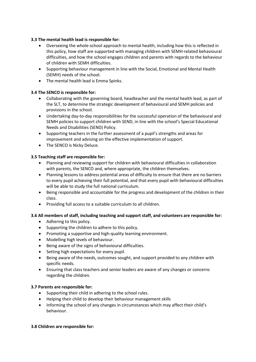# **3.3 The mental health lead is responsible for:**

- Overseeing the whole-school approach to mental health, including how this is reflected in this policy, how staff are supported with managing children with SEMH-related behavioural difficulties, and how the school engages children and parents with regards to the behaviour of children with SEMH difficulties.
- Supporting behaviour management in line with the Social, Emotional and Mental Health (SEMH) needs of the school.
- The mental health lead is Emma Spinks.

# **3.4 The SENCO is responsible for:**

- Collaborating with the governing board, headteacher and the mental health lead, as part of the SLT, to determine the strategic development of behavioural and SEMH policies and provisions in the school.
- Undertaking day-to-day responsibilities for the successful operation of the behavioural and SEMH policies to support children with SEND, in line with the school's Special Educational Needs and Disabilities (SEND) Policy.
- Supporting teachers in the further assessment of a pupil's strengths and areas for improvement and advising on the effective implementation of support.
- The SENCO is Nicky Deluce.

# **3.5 Teaching staff are responsible for:**

- Planning and reviewing support for children with behavioural difficulties in collaboration with parents, the SENCO and, where appropriate, the children themselves.
- Planning lessons to address potential areas of difficulty to ensure that there are no barriers to every pupil achieving their full potential, and that every pupil with behavioural difficulties will be able to study the full national curriculum.
- Being responsible and accountable for the progress and development of the children in their class.
- Providing full access to a suitable curriculum to all children.

# **3.6 All members of staff, including teaching and support staff, and volunteers are responsible for:**

- Adhering to this policy.
- Supporting the children to adhere to this policy.
- Promoting a supportive and high-quality learning environment.
- Modelling high levels of behaviour.
- Being aware of the signs of behavioural difficulties.
- Setting high expectations for every pupil.
- Being aware of the needs, outcomes sought, and support provided to any children with specific needs.
- Ensuring that class teachers and senior leaders are aware of any changes or concerns regarding the children.

# **3.7 Parents are responsible for:**

- Supporting their child in adhering to the school rules.
- Helping their child to develop their behaviour management skills
- Informing the school of any changes in circumstances which may affect their child's behaviour.

#### **3.8 Children are responsible for:**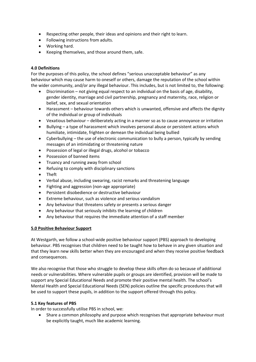- Respecting other people, their ideas and opinions and their right to learn.
- Following instructions from adults.
- Working hard.
- Keeping themselves, and those around them, safe.

# **4.0 Definitions**

For the purposes of this policy, the school defines "serious unacceptable behaviour" as any behaviour which may cause harm to oneself or others, damage the reputation of the school within the wider community, and/or any illegal behaviour. This includes, but is not limited to, the following:

- Discrimination not giving equal respect to an individual on the basis of age, disability, gender identity, marriage and civil partnership, pregnancy and maternity, race, religion or belief, sex, and sexual orientation
- Harassment behaviour towards others which is unwanted, offensive and affects the dignity of the individual or group of individuals
- Vexatious behaviour deliberately acting in a manner so as to cause annoyance or irritation
- Bullying a type of harassment which involves personal abuse or persistent actions which humiliate, intimidate, frighten or demean the individual being bullied
- Cyberbullying the use of electronic communication to bully a person, typically by sending messages of an intimidating or threatening nature
- Possession of legal or illegal drugs, alcohol or tobacco
- Possession of banned items
- Truancy and running away from school
- Refusing to comply with disciplinary sanctions
- Theft
- Verbal abuse, including swearing, racist remarks and threatening language
- Fighting and aggression (non-age appropriate)
- Persistent disobedience or destructive behaviour
- Extreme behaviour, such as violence and serious vandalism
- Any behaviour that threatens safety or presents a serious danger
- Any behaviour that seriously inhibits the learning of children
- Any behaviour that requires the immediate attention of a staff member

#### **5.0 Positive Behaviour Support**

At Westgarth, we follow a school-wide positive behaviour support (PBS) approach to developing behaviour. PBS recognises that children need to be taught how to behave in any given situation and that they learn new skills better when they are encouraged and when they receive positive feedback and consequences.

We also recognise that those who struggle to develop these skills often do so because of additional needs or vulnerabilities. Where vulnerable pupils or groups are identified, provision will be made to support any Special Educational Needs and promote their positive mental health. The school's Mental Health and Special Educational Needs (SEN) policies outline the specific procedures that will be used to support these pupils, in addition to the support offered through this policy.

#### **5.1 Key features of PBS**

In order to successfully utilise PBS in school, we:

• Share a common philosophy and purpose which recognises that appropriate behaviour must be explicitly taught, much like academic learning.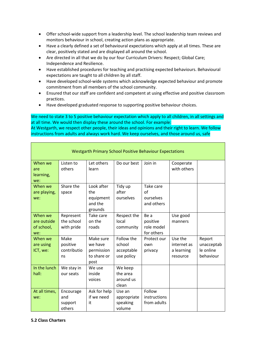- Offer school-wide support from a leadership level. The school leadership team reviews and monitors behaviour in school, creating action plans as appropriate.
- Have a clearly defined a set of behavioural expectations which apply at all times. These are clear, positively stated and are displayed all around the school.
- Are directed in all that we do by our four Curriculum Drivers: Respect; Global Care; Independence and Resilience.
- Have established procedures for teaching and practising expected behaviours. Behavioural expectations are taught to all children by all staff.
- Have developed school-wide systems which acknowledge expected behaviour and promote commitment from all members of the school community.
- Ensured that our staff are confident and competent at using effective and positive classroom practices.
- Have developed graduated response to supporting positive behaviour choices.

We need to state 3 to 5 positive behaviour expectation which apply to all children, in all settings and at all time. We would then display these around the school. For example:

At Westgarth, we respect other people, their ideas and opinions and their right to learn. We follow instructions from adults and always work hard. We keep ourselves, and those around us, safe

| <b>Westgarth Primary School Positive Behaviour Expectations</b> |                                       |                                                           |                                                  |                                              |                                                  |                                                |
|-----------------------------------------------------------------|---------------------------------------|-----------------------------------------------------------|--------------------------------------------------|----------------------------------------------|--------------------------------------------------|------------------------------------------------|
| When we<br>are<br>learning,<br>we:                              | Listen to<br>others                   | Let others<br>learn                                       | Do our best                                      | Join in                                      | Cooperate<br>with others                         |                                                |
| When we<br>are playing,<br>we:                                  | Share the<br>space                    | Look after<br>the<br>equipment<br>and the<br>grounds      | Tidy up<br>after<br>ourselves                    | Take care<br>of<br>ourselves<br>and others   |                                                  |                                                |
| When we<br>are outside<br>of school,<br>we:                     | Represent<br>the school<br>with pride | Take care<br>on the<br>roads                              | Respect the<br>local<br>community                | Be a<br>positive<br>role model<br>for others | Use good<br>manners                              |                                                |
| When we<br>are using<br>ICT, we:                                | Make<br>positive<br>contributio<br>ns | Make sure<br>we have<br>permission<br>to share or<br>post | Follow the<br>school<br>acceptable<br>use policy | Protect our<br>own<br>privacy                | Use the<br>internet as<br>a learning<br>resource | Report<br>unacceptab<br>le online<br>behaviour |
| In the lunch<br>hall:                                           | We stay in<br>our seats               | We use<br>inside<br>voices                                | We keep<br>the area<br>around us<br>clean        |                                              |                                                  |                                                |
| At all times,<br>we:                                            | Encourage<br>and<br>support<br>others | Ask for help<br>if we need<br>it                          | Use an<br>appropriate<br>speaking<br>volume      | Follow<br>instructions<br>from adults        |                                                  |                                                |

#### **5.2 Class Charters**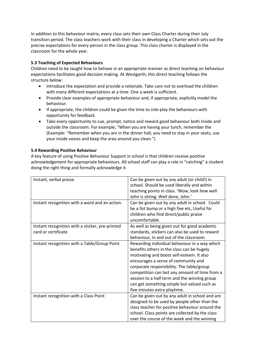In addition to this behaviour matrix, every class sets their own Class Charter during their July transition period. The class teachers work with their class in developing a Charter which sets out the precise expectations for every person in the class group. This class charter is displayed in the classroom for the whole year.

# **5.3 Teaching of Expected Behaviours**

Children need to be taught how to behave in an appropriate manner as direct teaching on behaviour expectations facilitates good decision making. At Westgarth, this direct teaching follows the structure below:

- Introduce the expectation and provide a rationale. Take care not to overload the children with many different expectations at a time. One a week is sufficient.
- Provide clear examples of appropriate behaviour and, if appropriate, explicitly model the behaviour.
- If appropriate, the children could be given the time to role-play the behaviours with opportunity for feedback.
- Take every opportunity to cue, prompt, notice and reward good behaviour both inside and outside the classroom. For example, "When you are having your lunch, remember the (Example: "Remember when you are in the dinner hall, you need to stay in your seats, use your inside voices and keep the area around you clean.")

#### **5.4 Rewarding Positive Behaviour**

A key feature of using Positive Behaviour Support in school is that children receive positive acknowledgement for appropriate behaviours. All school staff can play a role in "catching" a student doing the right thing and formally acknowledge it.

| Instant, verbal praise.                         | Can be given out by any adult (or child!) in    |
|-------------------------------------------------|-------------------------------------------------|
|                                                 | school. Should be used liberally and within     |
|                                                 | teaching points in class. 'Wow, look how well   |
|                                                 | John is sitting. Well done, John.'              |
| Instant recognition with a word and an action.  | Can be given out by any adult in school. Could  |
|                                                 | be a fist bump or a high five etc, Useful for   |
|                                                 | children who find direct/public praise          |
|                                                 | uncomfortable.                                  |
| Instant recognition with a sticker, pre-printed | As well as being given out for good academic    |
| card or certificate                             | standards, stickers can also be used to reward  |
|                                                 | behaviour, in and out of the classroom.         |
| Instant recognition with a Table/Group Point    | Rewarding individual behaviour in a way which   |
|                                                 | benefits others in the class can be hugely      |
|                                                 | motivating and boost self-esteem. It also       |
|                                                 | encourages a sense of community and             |
|                                                 | corporate responsibility. The table/group       |
|                                                 | competition can last any amount of time from a  |
|                                                 | session to a half term and the winning group    |
|                                                 | can get something simple but valued such as     |
|                                                 | five minutes extra playtime.                    |
| Instant recognition with a Class Point          | Can be given out by any adult in school and are |
|                                                 | designed to be used by people other than the    |
|                                                 | class teacher for positive behaviour around the |
|                                                 | school. Class points are collected by the class |
|                                                 | over the course of the week and the winning     |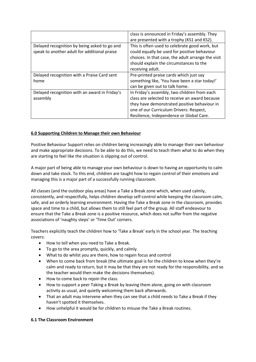|                                               | class is announced in Friday's assembly. They      |
|-----------------------------------------------|----------------------------------------------------|
|                                               | are presented with a trophy (KS1 and KS2).         |
| Delayed recognition by being asked to go and  | This is often used to celebrate good work, but     |
| speak to another adult for additional praise  | could equally be used for positive behaviour       |
|                                               | choices. In that case, the adult arrange the visit |
|                                               | should explain the circumstances to the            |
|                                               | receiving adult.                                   |
| Delayed recognition with a Praise Card sent   | Pre-printed praise cards which just say            |
| home                                          | something like, 'You have been a star today!'      |
|                                               | can be given out to talk home.                     |
| Delayed recognition with an award in Friday's | In Friday's assembly, two children from each       |
| assembly                                      | class are selected to receive an award because     |
|                                               | they have demonstrated positive behaviour in       |
|                                               | one of our Curriculum Drivers: Respect,            |
|                                               | Resilience, Independence or Global Care.           |

# **6.0 Supporting Children to Manage their own Behaviour**

Positive Behaviour Support relies on children being increasingly able to manage their own behaviour and make appropriate decisions. To be able to do this, we need to teach them what to do when they are starting to feel like the situation is slipping out of control.

A major part of being able to manage your own behaviour is down to having an opportunity to calm down and take stock. To this end, children are taught how to regain control of their emotions and managing this is a major part of a successfully running classroom.

All classes (and the outdoor play areas) have a Take a Break zone which, when used calmly, consistently, and respectfully, helps children develop self-control while keeping the classroom calm, safe, and an orderly learning environment. Having the Take a Break zone in the classroom, provides space and time to a child, but allows them to still feel part of the group. All staff endeavour to ensure that the Take a Break zone is a positive resource, which does not suffer from the negative associations of 'naughty steps' or 'Time Out' corners.

Teachers explicitly teach the children how to 'Take a Break' early in the school year. The teaching covers:

- How to tell when you need to Take a Break.
- To go to the area promptly, quickly, and calmly.
- What to do whilst you are there, how to regain focus and control
- When to come back from break (the ultimate goal is for the children to know when they're calm and ready to return, but it may be that they are not ready for the responsibility, and so the teacher would then make the decisions themselves).
- How to come back to rejoin the class.
- How to support a peer Taking a Break by leaving them alone, going on with classroom activity as usual, and quietly welcoming them back afterwards.
- That an adult may intervene when they can see that a child needs to Take a Break if they haven't spotted it themselves.
- How unhelpful it would be for children to misuse the Take a Break routines.

# **6.1 The Classroom Environment**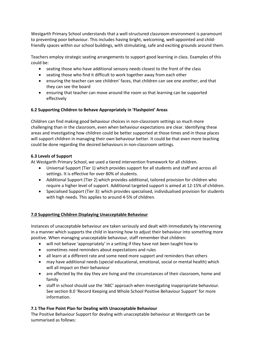Westgarth Primary School understands that a well-structured classroom environment is paramount to preventing poor behaviour. This includes having bright, welcoming, well-appointed and childfriendly spaces within our school buildings, with stimulating, safe and exciting grounds around them.

Teachers employ strategic seating arrangements to support good learning in class. Examples of this could be:

- seating those who have additional sensory needs closest to the front of the class
- seating those who find it difficult to work together away from each other
- ensuring the teacher can see children' faces, that children can see one another, and that they can see the board
- ensuring that teacher can move around the room so that learning can be supported effectively

# **6.2 Supporting Children to Behave Appropriately in 'Flashpoint' Areas**

Children can find making good behaviour choices in non-classroom settings so much more challenging than in the classroom, even when behaviour expectations are clear. Identifying these areas and investigating how children could be better supported at those times and in those places will support children in managing their own behaviour better. It could be that even more teaching could be done regarding the desired behaviours in non-classroom settings.

# **6.3 Levels of Support**

At Westgarth Primary School, we used a tiered intervention framework for all children.

- Universal Support (Tier 1) which provides support for all students and staff and across all settings. It is effective for over 80% of students.
- Additional Support (Tier 2) which provides additional, tailored provision for children who require a higher level of support. Additional targeted support is aimed at 12-15% of children.
- Specialised Support (Tier 3): which provides specialised, individualised provision for students with high needs. This applies to around 4-5% of children.

# **7.0 Supporting Children Displaying Unacceptable Behaviour**

Instances of unacceptable behaviour are taken seriously and dealt with immediately by intervening in a manner which supports the child in learning how to adjust their behaviour into something more positive. When managing unacceptable behaviour, staff remember that children:

- will not behave 'appropriately' in a setting if they have not been taught how to
- sometimes need reminders about expectations and rules
- all learn at a different rate and some need more support and reminders than others
- may have additional needs (special educational, emotional, social or mental health) which will all impact on their behaviour
- are affected by the day they are living and the circumstances of their classroom, home and family
- staff in school should use the 'ABC' approach when investigating inappropriate behaviour. See section 8.0 'Record Keeping and Whole School Positive Behaviour Support' for more information.

# **7.1 The Five Point Plan for Dealing with Unacceptable Behaviour**

The Positive Behaviour Support for dealing with unacceptable behaviour at Westgarth can be summarised as follows: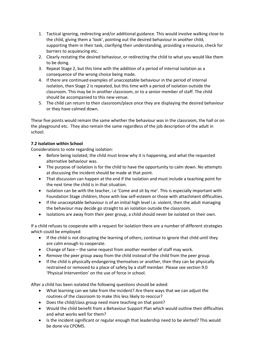- 1. Tactical ignoring, redirecting and/or additional guidance. This would involve walking close to the child, giving them a 'look', pointing out the desired behaviour in another child, supporting them in their task, clarifying their understanding, providing a resource, check for barriers to acquiescing etc.
- 2. Clearly restating the desired behaviour, or redirecting the child to what you would like them to be doing.
- 3. Repeat Stage 2, but this time with the addition of a period of internal isolation as a consequence of the wrong choice being made.
- 4. If there are continued examples of unacceptable behaviour in the period of internal isolation, then Stage 2 is repeated, but this time with a period of isolation outside the classroom. This may be in another classroom, or to a senior member of staff. The child should be accompanied to this new venue.
- 5. The child can return to their classroom/place once they are displaying the desired behaviour or they have calmed down.

These five points would remain the same whether the behaviour was in the classroom, the hall or on the playground etc. They also remain the same regardless of the job description of the adult in school.

# **7.2 Isolation within School**

Considerations to note regarding isolation:

- Before being isolated, the child must know why it is happening, and what the requested alternative behaviour was.
- The purpose of isolation is for the child to have the opportunity to calm down. No attempts at discussing the incident should be made at that point.
- That discussion can happen at the end if the isolation and must include a teaching point for the next time the child is in that situation.
- Isolation can be with the teacher, i.e 'Come and sit by me'. This is especially important with Foundation Stage children, those with low self-esteem or those with attachment difficulties.
- If the unacceptable behaviour is of an initial high level i.e. violent, then the adult managing the behaviour may decide go straight to an isolation outside the classroom.
- Isolations are away from their peer group, a child should never be isolated on their own.

If a child refuses to cooperate with a request for isolation there are a number of different strategies which could be employed:

- If the child is not disrupting the learning of others, continue to ignore that child until they are calm enough to cooperate.
- Change of face the same request from another member of staff may work.
- Remove the peer group away from the child instead of the child from the peer group.
- If the child is physically endangering themselves or another, then they can be physically restrained or removed to a place of safety by a staff member. Please see section 9.0 'Physical Intervention' on the use of force in school.

After a child has been isolated the following questions should be asked:

- What learning can we take from the incident? Are there ways that we can adjust the routines of the classroom to make this less likely to reoccur?
- Does the child/class group need more teaching on that point?
- Would the child benefit from a Behaviour Support Plan which would outline their difficulties and what works well for them?
- Is the incident significant or regular enough that leadership need to be alerted? This would be done via CPOMS.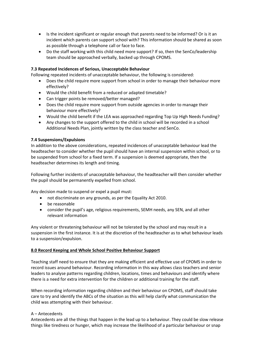- Is the incident significant or regular enough that parents need to be informed? Or is it an incident which parents can support school with? This information should be shared as soon as possible through a telephone call or face to face.
- Do the staff working with this child need more support? If so, then the SenCo/leadership team should be approached verbally, backed up through CPOMS.

#### **7.3 Repeated Incidences of Serious, Unacceptable Behaviour**

Following repeated incidents of unacceptable behaviour, the following is considered:

- Does the child require more support from school in order to manage their behaviour more effectively?
- Would the child benefit from a reduced or adapted timetable?
- Can trigger points be removed/better managed?
- Does the child require more support from outside agencies in order to manage their behaviour more effectively?
- Would the child benefit if the LEA was approached regarding Top Up High Needs Funding?
- Any changes to the support offered to the child in school will be recorded in a school Additional Needs Plan, jointly written by the class teacher and SenCo.

#### **7.4 Suspensions/Expulsions**

In addition to the above considerations, repeated incidences of unacceptable behaviour lead the headteacher to consider whether the pupil should have an internal suspension within school, or to be suspended from school for a fixed term. If a suspension is deemed appropriate, then the headteacher determines its length and timing.

Following further incidents of unacceptable behaviour, the headteacher will then consider whether the pupil should be permanently expelled from school.

Any decision made to suspend or expel a pupil must:

- not discriminate on any grounds, as per the Equality Act 2010.
- be reasonable
- consider the pupil's age, religious requirements, SEMH needs, any SEN, and all other relevant information

Any violent or threatening behaviour will not be tolerated by the school and may result in a suspension in the first instance. It is at the discretion of the headteacher as to what behaviour leads to a suspension/expulsion.

#### **8.0 Record Keeping and Whole School Positive Behaviour Support**

Teaching staff need to ensure that they are making efficient and effective use of CPOMS in order to record issues around behaviour. Recording information in this way allows class teachers and senior leaders to analyse patterns regarding children, locations, times and behaviours and identify where there is a need for extra intervention for the children or additional training for the staff.

When recording information regarding children and their behaviour on CPOMS, staff should take care to try and identify the ABCs of the situation as this will help clarify what communication the child was attempting with their behaviour.

#### A – Antecedents

Antecedents are all the things that happen in the lead up to a behaviour. They could be slow release things like tiredness or hunger, which may increase the likelihood of a particular behaviour or snap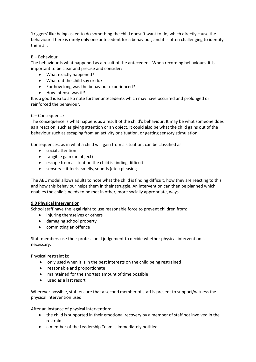'triggers' like being asked to do something the child doesn't want to do, which directly cause the behaviour. There is rarely only one antecedent for a behaviour, and it is often challenging to identify them all.

#### B – Behaviour

The behaviour is what happened as a result of the antecedent. When recording behaviours, it is important to be clear and precise and consider:

- What exactly happened?
- What did the child say or do?
- For how long was the behaviour experienced?
- How intense was it?

It is a good idea to also note further antecedents which may have occurred and prolonged or reinforced the behaviour.

#### C – Consequence

The consequence is what happens as a result of the child's behaviour. It may be what someone does as a reaction, such as giving attention or an object. It could also be what the child gains out of the behaviour such as escaping from an activity or situation, or getting sensory stimulation.

Consequences, as in what a child will gain from a situation, can be classified as:

- social attention
- tangible gain (an object)
- escape from a situation the child is finding difficult
- sensory it feels, smells, sounds (etc.) pleasing

The ABC model allows adults to note what the child is finding difficult, how they are reacting to this and how this behaviour helps them in their struggle. An intervention can then be planned which enables the child's needs to be met in other, more socially appropriate, ways.

#### **9.0 Physical Intervention**

School staff have the legal right to use reasonable force to prevent children from:

- injuring themselves or others
- damaging school property
- committing an offence

Staff members use their professional judgement to decide whether physical intervention is necessary.

Physical restraint is:

- only used when it is in the best interests on the child being restrained
- reasonable and proportionate
- maintained for the shortest amount of time possible
- used as a last resort

Wherever possible, staff ensure that a second member of staff is present to support/witness the physical intervention used.

After an instance of physical intervention:

- the child is supported in their emotional recovery by a member of staff not involved in the restraint
- a member of the Leadership Team is immediately notified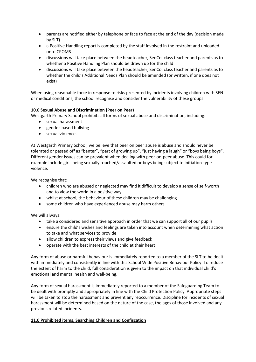- parents are notified either by telephone or face to face at the end of the day (decision made by SLT)
- a Positive Handling report is completed by the staff involved in the restraint and uploaded onto CPOMS
- discussions will take place between the headteacher, SenCo, class teacher and parents as to whether a Positive Handling Plan should be drawn up for the child
- discussions will take place between the headteacher, SenCo, class teacher and parents as to whether the child's Additional Needs Plan should be amended (or written, if one does not exist)

When using reasonable force in response to risks presented by incidents involving children with SEN or medical conditions, the school recognise and consider the vulnerability of these groups.

#### **10.0 Sexual Abuse and Discrimination (Peer on Peer)**

Westgarth Primary School prohibits all forms of sexual abuse and discrimination, including:

- sexual harassment
- gender-based bullying
- sexual violence.

At Westgarth Primary School, we believe that peer on peer abuse is abuse and should never be tolerated or passed off as "banter", "part of growing up", "just having a laugh" or "boys being boys". Different gender issues can be prevalent when dealing with peer-on-peer abuse. This could for example include girls being sexually touched/assaulted or boys being subject to initiation-type violence.

We recognise that:

- children who are abused or neglected may find it difficult to develop a sense of self-worth and to view the world in a positive way
- whilst at school, the behaviour of these children may be challenging
- some children who have experienced abuse may harm others

We will always:

- take a considered and sensitive approach in order that we can support all of our pupils
- ensure the child's wishes and feelings are taken into account when determining what action to take and what services to provide
- allow children to express their views and give feedback
- operate with the best interests of the child at their heart

Any form of abuse or harmful behaviour is immediately reported to a member of the SLT to be dealt with immediately and consistently in line with this School Wide Positive Behaviour Policy. To reduce the extent of harm to the child, full consideration is given to the impact on that individual child's emotional and mental health and well-being.

Any form of sexual harassment is immediately reported to a member of the Safeguarding Team to be dealt with promptly and appropriately in line with the Child Protection Policy. Appropriate steps will be taken to stop the harassment and prevent any reoccurrence. Discipline for incidents of sexual harassment will be determined based on the nature of the case, the ages of those involved and any previous related incidents.

#### **11.0 Prohibited items, Searching Children and Confiscation**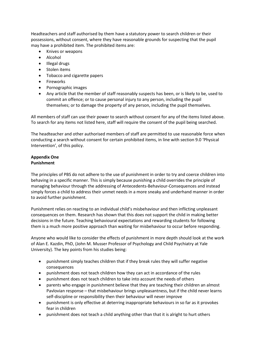Headteachers and staff authorised by them have a statutory power to search children or their possessions, without consent, where they have reasonable grounds for suspecting that the pupil may have a prohibited item. The prohibited items are:

- Knives or weapons
- Alcohol
- Illegal drugs
- Stolen items
- Tobacco and cigarette papers
- Fireworks
- Pornographic images
- Any article that the member of staff reasonably suspects has been, or is likely to be, used to commit an offence; or to cause personal injury to any person, including the pupil themselves; or to damage the property of any person, including the pupil themselves.

All members of staff can use their power to search without consent for any of the items listed above. To search for any items not listed here, staff will require the consent of the pupil being searched.

The headteacher and other authorised members of staff are permitted to use reasonable force when conducting a search without consent for certain prohibited items, in line with section 9.0 'Physical Intervention', of this policy.

#### **Appendix One Punishment**

The principles of PBS do not adhere to the use of punishment in order to try and coerce children into behaving in a specific manner. This is simply because punishing a child overrides the principle of managing behaviour through the addressing of Antecedents-Behaviour-Consequences and instead simply forces a child to address their unmet needs in a more sneaky and underhand manner in order to avoid further punishment.

Punishment relies on reacting to an individual child's misbehaviour and then inflicting unpleasant consequences on them. Research has shown that this does not support the child in making better decisions in the future. Teaching behavioural expectations and rewarding students for following them is a much more positive approach than waiting for misbehaviour to occur before responding.

Anyone who would like to consider the effects of punishment in more depth should look at the work of Alan E. Kazdin, PhD, (John M. Musser Professor of Psychology and Child Psychiatry at Yale University). The key points from his studies being:

- punishment simply teaches children that if they break rules they will suffer negative consequences
- punishment does not teach children how they can act in accordance of the rules
- punishment does not teach children to take into account the needs of others
- parents who engage in punishment believe that they are teaching their children an almost Pavlovian response – that misbehaviour brings unpleasantness, but if the child never learns self-discipline or responsibility then their behaviour will never improve
- punishment is only effective at deterring inappropriate behaviours in so far as it provokes fear in children
- punishment does not teach a child anything other than that it is alright to hurt others